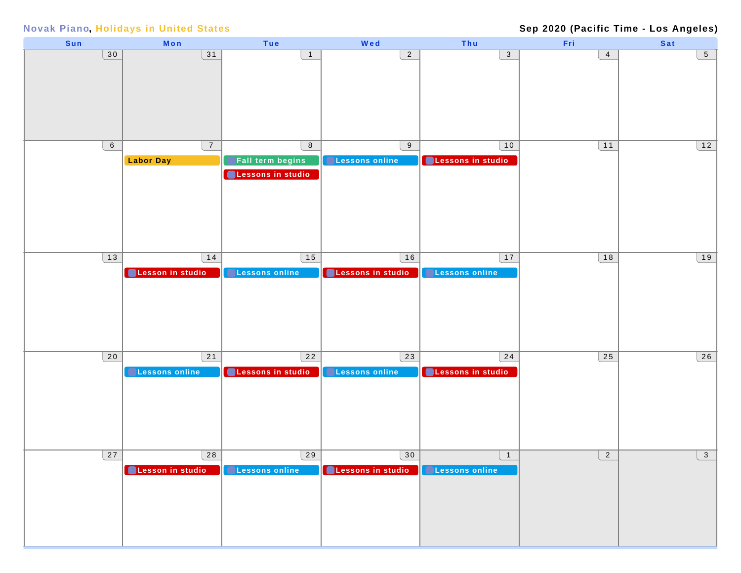#### **Sep 2020 (Pacific Time - Los Angeles)**

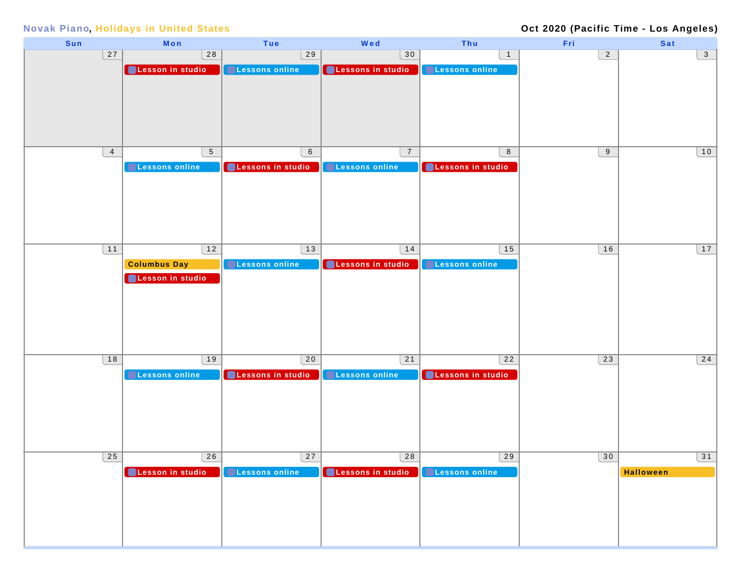### **Oct 2020 (Pacific Time - Los Angeles)**

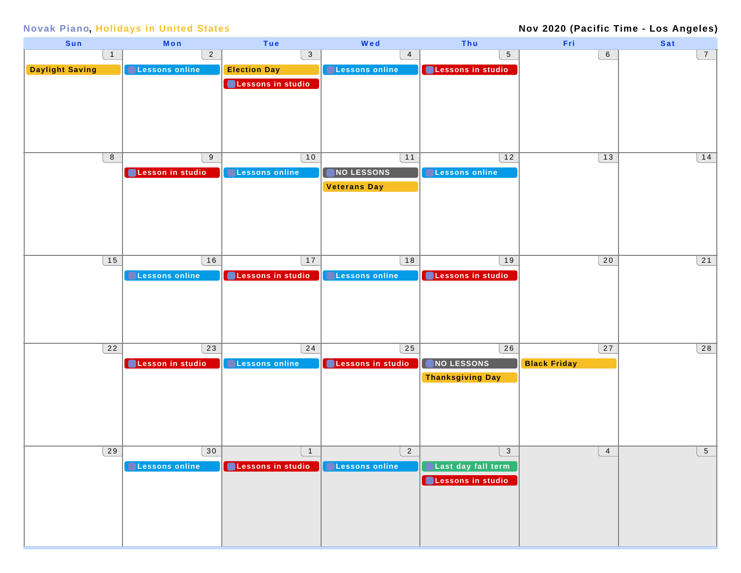### **Nov 2020 (Pacific Time - Los Angeles)**